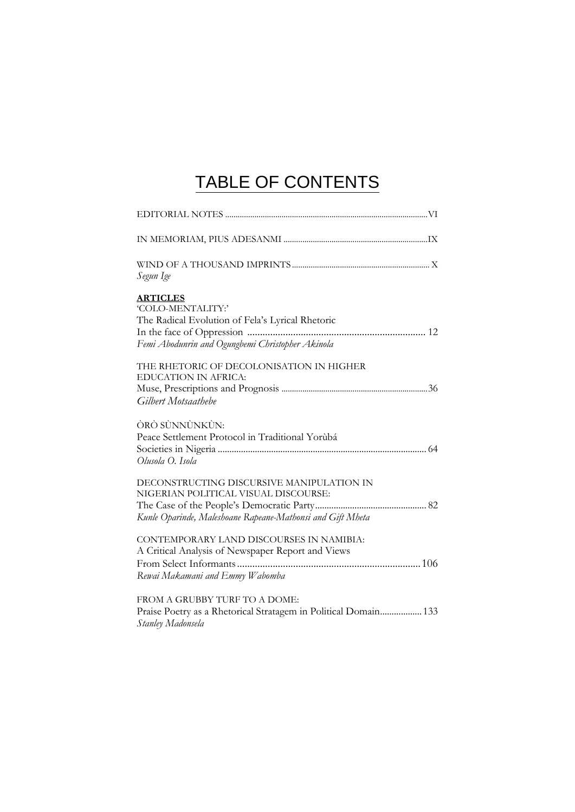## TABLE OF CONTENTS

| Segun Ige                                                                                                                                       |
|-------------------------------------------------------------------------------------------------------------------------------------------------|
| <b>ARTICLES</b><br>'COLO-MENTALITY:'<br>The Radical Evolution of Fela's Lyrical Rhetoric<br>Femi Abodunrin and Ogungbemi Christopher Akinola    |
| THE RHETORIC OF DECOLONISATION IN HIGHER<br><b>EDUCATION IN AFRICA:</b><br>Gilbert Motsaathebe                                                  |
| ÒRÒ SÙNNÙNKÙN:<br>Peace Settlement Protocol in Traditional Yorùbá<br>Olusola O. Isola                                                           |
| DECONSTRUCTING DISCURSIVE MANIPULATION IN<br>NIGERIAN POLITICAL VISUAL DISCOURSE:<br>Kunle Oparinde, Maleshoane Rapeane-Mathonsi and Gift Mheta |
| CONTEMPORARY LAND DISCOURSES IN NAMIBIA:<br>A Critical Analysis of Newspaper Report and Views<br>Rewai Makamani and Emmy Wabomba                |
| FROM A GRUBBY TURF TO A DOME:<br>Praise Poetry as a Rhetorical Stratagem in Political Domain 133<br>Stanley Madonsela                           |